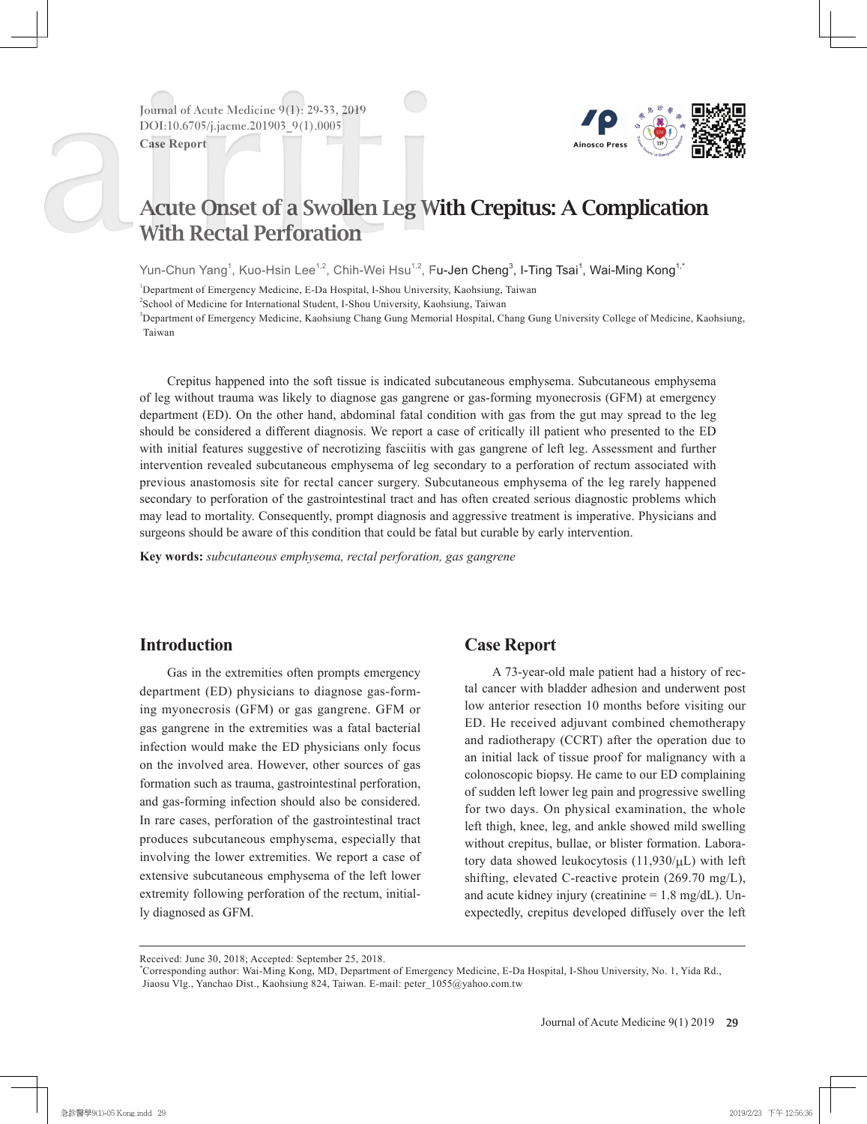**Journal of Acute Medicine 9(1): 29-33, 2019 DOI:10.6705/j.jacme.201903\_9(1).0005**

**Case Report**



# Acute Onset of a Swollen Leg With Crepitus: A Complication With Rectal Perforation

Yun-Chun Yang<sup>1</sup>, Kuo-Hsin Lee<sup>1,2</sup>, Chih-Wei Hsu<sup>1,2</sup>, F**u-Jen Cheng<sup>3</sup>, I-Ting Tsai<sup>1</sup>, Wai-Ming Kong<sup>1,</sup>'** 

<sup>1</sup>Department of Emergency Medicine, E-Da Hospital, I-Shou University, Kaohsiung, Taiwan

2 School of Medicine for International Student, I-Shou University, Kaohsiung, Taiwan

3 Department of Emergency Medicine, Kaohsiung Chang Gung Memorial Hospital, Chang Gung University College of Medicine, Kaohsiung, Taiwan

Crepitus happened into the soft tissue is indicated subcutaneous emphysema. Subcutaneous emphysema of leg without trauma was likely to diagnose gas gangrene or gas-forming myonecrosis (GFM) at emergency department (ED). On the other hand, abdominal fatal condition with gas from the gut may spread to the leg should be considered a different diagnosis. We report a case of critically ill patient who presented to the ED with initial features suggestive of necrotizing fasciitis with gas gangrene of left leg. Assessment and further intervention revealed subcutaneous emphysema of leg secondary to a perforation of rectum associated with previous anastomosis site for rectal cancer surgery. Subcutaneous emphysema of the leg rarely happened secondary to perforation of the gastrointestinal tract and has often created serious diagnostic problems which may lead to mortality. Consequently, prompt diagnosis and aggressive treatment is imperative. Physicians and surgeons should be aware of this condition that could be fatal but curable by early intervention.

**Key words:** *subcutaneous emphysema, rectal perforation, gas gangrene*

#### **Introduction**

Gas in the extremities often prompts emergency department (ED) physicians to diagnose gas-forming myonecrosis (GFM) or gas gangrene. GFM or gas gangrene in the extremities was a fatal bacterial infection would make the ED physicians only focus on the involved area. However, other sources of gas formation such as trauma, gastrointestinal perforation, and gas-forming infection should also be considered. In rare cases, perforation of the gastrointestinal tract produces subcutaneous emphysema, especially that involving the lower extremities. We report a case of extensive subcutaneous emphysema of the left lower extremity following perforation of the rectum, initially diagnosed as GFM.

## **Case Report**

A 73-year-old male patient had a history of rectal cancer with bladder adhesion and underwent post low anterior resection 10 months before visiting our ED. He received adjuvant combined chemotherapy and radiotherapy (CCRT) after the operation due to an initial lack of tissue proof for malignancy with a colonoscopic biopsy. He came to our ED complaining of sudden left lower leg pain and progressive swelling for two days. On physical examination, the whole left thigh, knee, leg, and ankle showed mild swelling without crepitus, bullae, or blister formation. Laboratory data showed leukocytosis  $(11,930/\mu L)$  with left shifting, elevated C-reactive protein (269.70 mg/L), and acute kidney injury (creatinine  $= 1.8$  mg/dL). Unexpectedly, crepitus developed diffusely over the left

Received: June 30, 2018; Accepted: September 25, 2018.

<sup>\*</sup> Corresponding author: Wai-Ming Kong, MD, Department of Emergency Medicine, E-Da Hospital, I-Shou University, No. 1, Yida Rd., Jiaosu Vlg., Yanchao Dist., Kaohsiung 824, Taiwan. E-mail: peter\_1055@yahoo.com.tw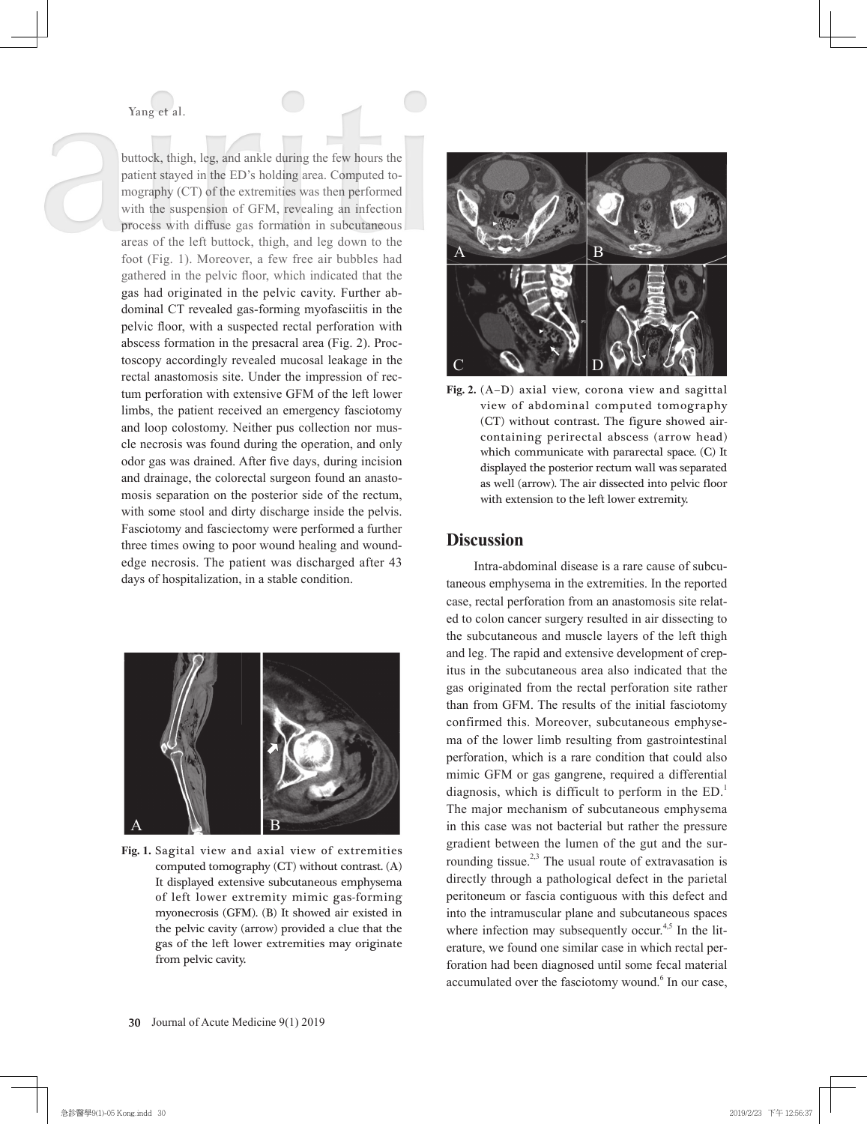buttock, thigh, leg, and ankle during the few hours the patient stayed in the ED's holding area. Computed tomography (CT) of the extremities was then performed with the suspension of GFM, revealing an infection process with diffuse gas formation in subcutaneous areas of the left buttock, thigh, and leg down to the foot (Fig. 1). Moreover, a few free air bubbles had gathered in the pelvic floor, which indicated that the gas had originated in the pelvic cavity. Further abdominal CT revealed gas-forming myofasciitis in the pelvic floor, with a suspected rectal perforation with abscess formation in the presacral area (Fig. 2). Proctoscopy accordingly revealed mucosal leakage in the rectal anastomosis site. Under the impression of rectum perforation with extensive GFM of the left lower limbs, the patient received an emergency fasciotomy and loop colostomy. Neither pus collection nor muscle necrosis was found during the operation, and only odor gas was drained. After five days, during incision and drainage, the colorectal surgeon found an anastomosis separation on the posterior side of the rectum, with some stool and dirty discharge inside the pelvis. Fasciotomy and fasciectomy were performed a further three times owing to poor wound healing and woundedge necrosis. The patient was discharged after 43 days of hospitalization, in a stable condition.



**Fig. 1.** Sagital view and axial view of extremities computed tomography (CT) without contrast. (A) It displayed extensive subcutaneous emphysema of left lower extremity mimic gas-forming myonecrosis (GFM). (B) It showed air existed in the pelvic cavity (arrow) provided a clue that the gas of the left lower extremities may originate from pelvic cavity.





#### **Discussion**

Intra-abdominal disease is a rare cause of subcutaneous emphysema in the extremities. In the reported case, rectal perforation from an anastomosis site related to colon cancer surgery resulted in air dissecting to the subcutaneous and muscle layers of the left thigh and leg. The rapid and extensive development of crepitus in the subcutaneous area also indicated that the gas originated from the rectal perforation site rather than from GFM. The results of the initial fasciotomy confirmed this. Moreover, subcutaneous emphysema of the lower limb resulting from gastrointestinal perforation, which is a rare condition that could also mimic GFM or gas gangrene, required a differential diagnosis, which is difficult to perform in the ED.<sup>1</sup> The major mechanism of subcutaneous emphysema in this case was not bacterial but rather the pressure gradient between the lumen of the gut and the surrounding tissue.<sup>2,3</sup> The usual route of extravasation is directly through a pathological defect in the parietal peritoneum or fascia contiguous with this defect and into the intramuscular plane and subcutaneous spaces where infection may subsequently occur. $4,5$  In the literature, we found one similar case in which rectal perforation had been diagnosed until some fecal material accumulated over the fasciotomy wound.<sup>6</sup> In our case,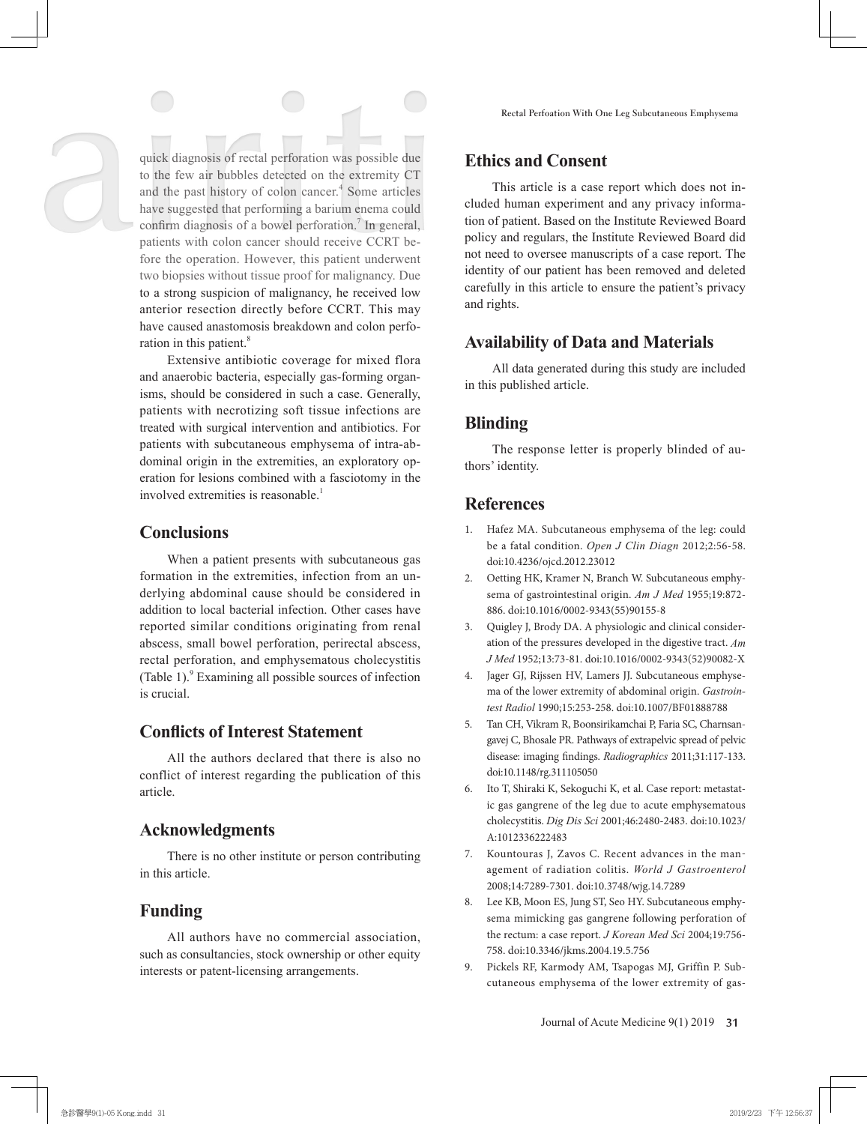quick diagnosis of rectal perforation was possible due to the few air bubbles detected on the extremity CT and the past history of colon cancer.<sup>4</sup> Some articles have suggested that performing a barium enema could confirm diagnosis of a bowel perforation.<sup>7</sup> In general, patients with colon cancer should receive CCRT before the operation. However, this patient underwent two biopsies without tissue proof for malignancy. Due to a strong suspicion of malignancy, he received low anterior resection directly before CCRT. This may have caused anastomosis breakdown and colon perforation in this patient.<sup>8</sup>

Extensive antibiotic coverage for mixed flora and anaerobic bacteria, especially gas-forming organisms, should be considered in such a case. Generally, patients with necrotizing soft tissue infections are treated with surgical intervention and antibiotics. For patients with subcutaneous emphysema of intra-abdominal origin in the extremities, an exploratory operation for lesions combined with a fasciotomy in the involved extremities is reasonable.<sup>1</sup>

#### **Conclusions**

When a patient presents with subcutaneous gas formation in the extremities, infection from an underlying abdominal cause should be considered in addition to local bacterial infection. Other cases have reported similar conditions originating from renal abscess, small bowel perforation, perirectal abscess, rectal perforation, and emphysematous cholecystitis (Table 1).<sup>9</sup> Examining all possible sources of infection is crucial.

## **Conflicts of Interest Statement**

All the authors declared that there is also no conflict of interest regarding the publication of this article.

# **Acknowledgments**

There is no other institute or person contributing in this article.

## **Funding**

All authors have no commercial association, such as consultancies, stock ownership or other equity interests or patent-licensing arrangements.

## **Ethics and Consent**

This article is a case report which does not included human experiment and any privacy information of patient. Based on the Institute Reviewed Board policy and regulars, the Institute Reviewed Board did not need to oversee manuscripts of a case report. The identity of our patient has been removed and deleted carefully in this article to ensure the patient's privacy and rights.

# **Availability of Data and Materials**

All data generated during this study are included in this published article.

# **Blinding**

The response letter is properly blinded of authors' identity.

# **References**

- 1. Hafez MA. Subcutaneous emphysema of the leg: could be a fatal condition. *Open J Clin Diagn* 2012;2:56-58. doi:10.4236/ojcd.2012.23012
- 2. Oetting HK, Kramer N, Branch W. Subcutaneous emphysema of gastrointestinal origin. *Am J Med* 1955;19:872- 886. doi:10.1016/0002-9343(55)90155-8
- 3. Quigley J, Brody DA. A physiologic and clinical consideration of the pressures developed in the digestive tract. *Am J Med* 1952;13:73-81. doi:10.1016/0002-9343(52)90082-X
- 4. Jager GJ, Rijssen HV, Lamers JJ. Subcutaneous emphysema of the lower extremity of abdominal origin. *Gastrointest Radiol* 1990;15:253-258. doi:10.1007/BF01888788
- 5. Tan CH, Vikram R, Boonsirikamchai P, Faria SC, Charnsangavej C, Bhosale PR. Pathways of extrapelvic spread of pelvic disease: imaging findings. *Radiographics* 2011;31:117-133. doi:10.1148/rg.311105050
- 6. Ito T, Shiraki K, Sekoguchi K, et al. Case report: metastatic gas gangrene of the leg due to acute emphysematous cholecystitis. *Dig Dis Sci* 2001;46:2480-2483. doi:10.1023/ A:1012336222483
- 7. Kountouras J, Zavos C. Recent advances in the management of radiation colitis. *World J Gastroenterol*  2008;14:7289-7301. doi:10.3748/wjg.14.7289
- 8. Lee KB, Moon ES, Jung ST, Seo HY. Subcutaneous emphysema mimicking gas gangrene following perforation of the rectum: a case report. *J Korean Med Sci* 2004;19:756- 758. doi:10.3346/jkms.2004.19.5.756
- 9. Pickels RF, Karmody AM, Tsapogas MJ, Griffin P. Subcutaneous emphysema of the lower extremity of gas-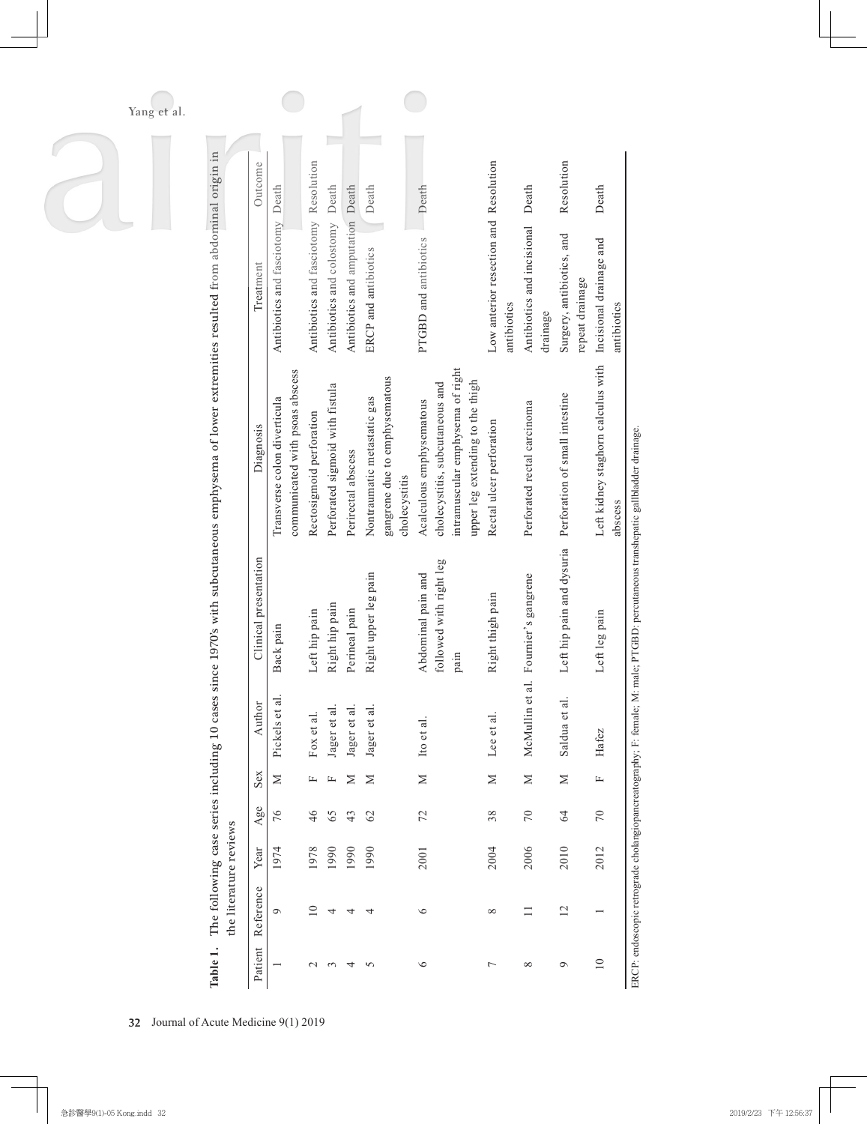| since 1970's with subcutaneous emphysema of lower extremities resulted from abdominal origin in<br>Outcome |                                                                 |                                       | Death                           |                                  | Death                                                                         | Death                                                                                                                               |                                                      | Death                                  | Resolution                                   | Death                              |
|------------------------------------------------------------------------------------------------------------|-----------------------------------------------------------------|---------------------------------------|---------------------------------|----------------------------------|-------------------------------------------------------------------------------|-------------------------------------------------------------------------------------------------------------------------------------|------------------------------------------------------|----------------------------------------|----------------------------------------------|------------------------------------|
| Treatment                                                                                                  | Antibiotics and fasciotomy Death                                | Antibiotics and fasciotomy Resolution | Antibiotics and colostomy       | Antibiotics and amputation Death | ERCP and antibiotics                                                          | PTGBD and antibiotics                                                                                                               | Low anterior resection and Resolution<br>antibiotics | Antibiotics and incisional<br>drainage | Surgery, antibiotics, and<br>repeat drainage | Incisional drainage and            |
| Diagnosis                                                                                                  | communicated with psoas abscess<br>Transverse colon diverticula | Rectosigmoid perforation              | Perforated sigmoid with fistula | Perirectal abscess               | gangrene due to emphysematous<br>Nontraumatic metastatic gas<br>cholecystitis | intramuscular emphysema of right<br>upper leg extending to the thigh<br>cholecystitis, subcutaneous and<br>Acalculous emphysematous | Rectal ulcer perforation                             | Perforated rectal carcinoma            | Perforation of small intestine               | Left kidney staghorn calculus with |
| Clinical presentation                                                                                      | Back pain                                                       | Left hip pain                         | Right hip pain                  | Perineal pain                    | Right upper leg pain                                                          | followed with right leg<br>Abdominal pain and<br>pain                                                                               | Right thigh pain                                     | al. Fournier's gangrene                | Left hip pain and dysuria                    | Left leg pain                      |
|                                                                                                            | Pickels et al.                                                  | Fox et al.                            | Jager et al                     | Jager et al                      | Jager et al.                                                                  | Ito et al.                                                                                                                          | Lee et al.                                           | McMullin et                            | Saldua et al.                                | Hafez                              |
| Sex                                                                                                        | $\geq$                                                          | 山                                     | 山                               | Z                                | $\geq$                                                                        | $\geq$                                                                                                                              | $\geq$                                               | $\geq$                                 | $\geq$                                       | 匞                                  |
| Agee                                                                                                       | 76                                                              | 46                                    | 65                              | 43                               | 62                                                                            | 72                                                                                                                                  | 38                                                   | 70                                     | 64                                           | 70                                 |
| Year                                                                                                       | 1974                                                            | 1978                                  | 1990                            | 1990                             | 1990                                                                          | 2001                                                                                                                                | 2004                                                 | 2006                                   | 2010                                         | 2012                               |
| Reference                                                                                                  | Ó                                                               | $\supseteq$                           | 4                               | ᅿ                                | 4                                                                             | $\circ$                                                                                                                             | $\infty$                                             |                                        | $\overline{2}$                               |                                    |
| Patient                                                                                                    |                                                                 | $\mathrel{\sim}$                      | 3                               | 4                                | 5                                                                             | $\circ$                                                                                                                             | $\overline{ }$                                       | $\infty$                               | $\circ$                                      | $\overline{10}$                    |

 $\overline{A}$ 

ERCP: endoscopic retrograde cholangiopancreatography; F: female; M: male; PTGBD: percutaneous transhepatic gallbladder drainage. ERCP: endoscopic retrograde cholangiopancreatography; F: female; M: male; PTGBD: percutaneous transhepatic gallbladder drainage.

2